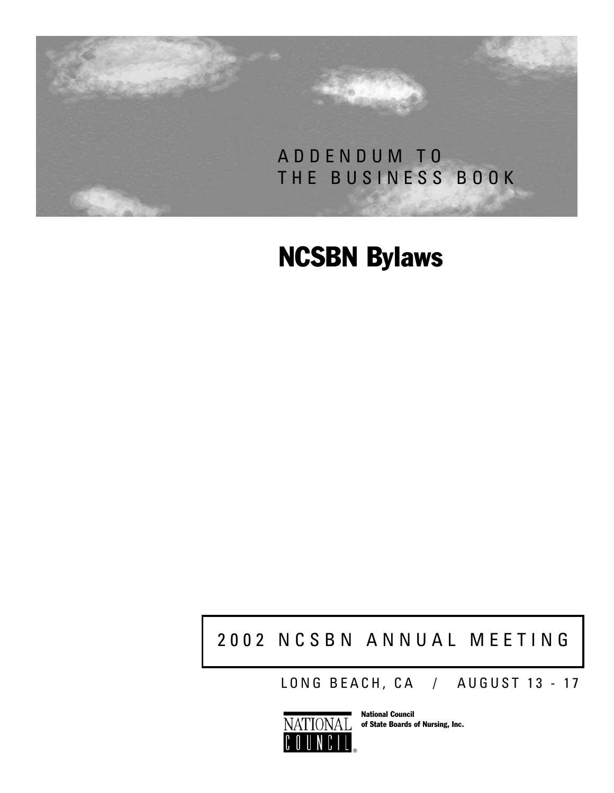

# NCSBN Bylaws

## 2002 NCSBN ANNUAL MEETING

LONG BEACH, CA / AUGUST 13 - 17



National Council of State Boards of Nursing, Inc.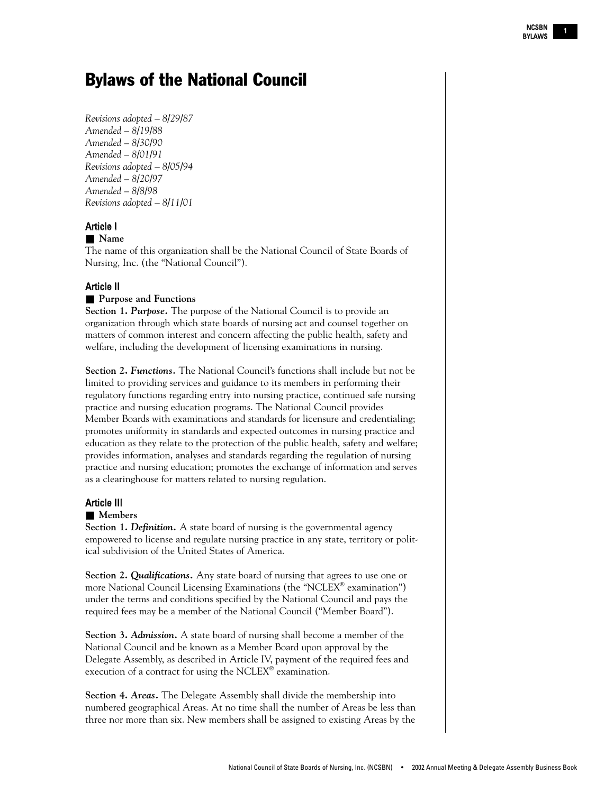### Bylaws of the National Council

*Revisions adopted – 8/29/87 Amended – 8/19/88 Amended – 8/30/90 Amended – 8/01/91 Revisions adopted – 8/05/94 Amended – 8/20/97 Amended – 8/8/98 Revisions adopted – 8/11/01*

#### Article I

#### ■ **Name**

The name of this organization shall be the National Council of State Boards of Nursing, Inc. (the "National Council").

#### Article II

#### ■ **Purpose and Functions**

**Section 1. Purpose.** The purpose of the National Council is to provide an organization through which state boards of nursing act and counsel together on matters of common interest and concern affecting the public health, safety and welfare, including the development of licensing examinations in nursing.

**Section 2.** *Functions.* The National Council's functions shall include but not be limited to providing services and guidance to its members in performing their regulatory functions regarding entry into nursing practice, continued safe nursing practice and nursing education programs. The National Council provides Member Boards with examinations and standards for licensure and credentialing; promotes uniformity in standards and expected outcomes in nursing practice and education as they relate to the protection of the public health, safety and welfare; provides information, analyses and standards regarding the regulation of nursing practice and nursing education; promotes the exchange of information and serves as a clearinghouse for matters related to nursing regulation.

#### Article III

#### ■ **Members**

**Section 1. Definition.** A state board of nursing is the governmental agency empowered to license and regulate nursing practice in any state, territory or political subdivision of the United States of America.

**Section 2.** *Qualifications.* Any state board of nursing that agrees to use one or more National Council Licensing Examinations (the "NCLEX® examination") under the terms and conditions specified by the National Council and pays the required fees may be a member of the National Council ("Member Board").

**Section 3.** *Admission.* A state board of nursing shall become a member of the National Council and be known as a Member Board upon approval by the Delegate Assembly, as described in Article IV, payment of the required fees and execution of a contract for using the NCLEX® examination.

**Section 4.** *Areas.* The Delegate Assembly shall divide the membership into numbered geographical Areas. At no time shall the number of Areas be less than three nor more than six. New members shall be assigned to existing Areas by the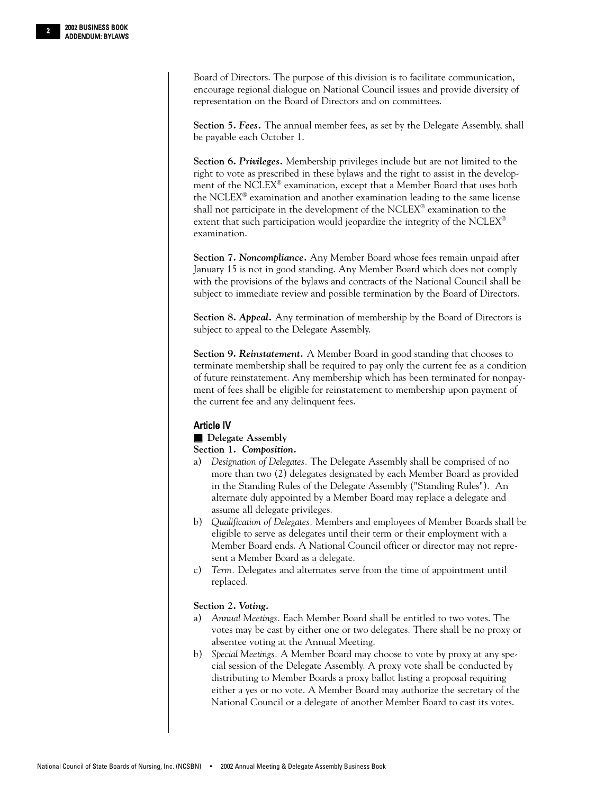Board of Directors. The purpose of this division is to facilitate communication, encourage regional dialogue on National Council issues and provide diversity of representation on the Board of Directors and on committees.

**Section 5.** *Fees.* The annual member fees, as set by the Delegate Assembly, shall be payable each October 1.

**Section 6.** *Privileges.* Membership privileges include but are not limited to the right to vote as prescribed in these bylaws and the right to assist in the development of the NCLEX® examination, except that a Member Board that uses both the NCLEX® examination and another examination leading to the same license shall not participate in the development of the NCLEX® examination to the extent that such participation would jeopardize the integrity of the NCLEX® examination.

**Section 7.** *Noncompliance.* Any Member Board whose fees remain unpaid after January 15 is not in good standing. Any Member Board which does not comply with the provisions of the bylaws and contracts of the National Council shall be subject to immediate review and possible termination by the Board of Directors.

**Section 8.** *Appeal.* Any termination of membership by the Board of Directors is subject to appeal to the Delegate Assembly.

**Section 9.** *Reinstatement.* A Member Board in good standing that chooses to terminate membership shall be required to pay only the current fee as a condition of future reinstatement. Any membership which has been terminated for nonpayment of fees shall be eligible for reinstatement to membership upon payment of the current fee and any delinquent fees.

#### Article IV

#### ■ **Delegate Assembly**

**Section 1.** *Composition.*

- a) *Designation of Delegates.* The Delegate Assembly shall be comprised of no more than two (2) delegates designated by each Member Board as provided in the Standing Rules of the Delegate Assembly ("Standing Rules"). An alternate duly appointed by a Member Board may replace a delegate and assume all delegate privileges.
- b) *Qualification of Delegates.* Members and employees of Member Boards shall be eligible to serve as delegates until their term or their employment with a Member Board ends. A National Council officer or director may not represent a Member Board as a delegate.
- c) *Term.* Delegates and alternates serve from the time of appointment until replaced.

#### **Section 2.** *Voting.*

- a) *Annual Meetings.* Each Member Board shall be entitled to two votes. The votes may be cast by either one or two delegates. There shall be no proxy or absentee voting at the Annual Meeting.
- b) *Special Meetings.* A Member Board may choose to vote by proxy at any special session of the Delegate Assembly. A proxy vote shall be conducted by distributing to Member Boards a proxy ballot listing a proposal requiring either a yes or no vote. A Member Board may authorize the secretary of the National Council or a delegate of another Member Board to cast its votes.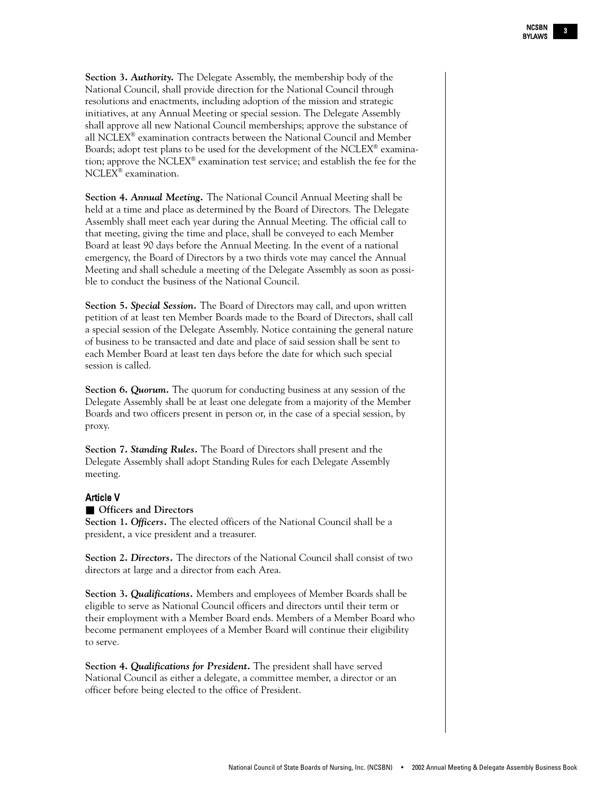**Section 3.** *Authority.* The Delegate Assembly, the membership body of the National Council, shall provide direction for the National Council through resolutions and enactments, including adoption of the mission and strategic initiatives, at any Annual Meeting or special session. The Delegate Assembly shall approve all new National Council memberships; approve the substance of all NCLEX® examination contracts between the National Council and Member Boards; adopt test plans to be used for the development of the NCLEX® examination; approve the NCLEX<sup>®</sup> examination test service; and establish the fee for the NCLEX® examination.

**Section 4.** *Annual Meeting.* The National Council Annual Meeting shall be held at a time and place as determined by the Board of Directors. The Delegate Assembly shall meet each year during the Annual Meeting. The official call to that meeting, giving the time and place, shall be conveyed to each Member Board at least 90 days before the Annual Meeting. In the event of a national emergency, the Board of Directors by a two thirds vote may cancel the Annual Meeting and shall schedule a meeting of the Delegate Assembly as soon as possible to conduct the business of the National Council.

**Section 5.** *Special Session.* The Board of Directors may call, and upon written petition of at least ten Member Boards made to the Board of Directors, shall call a special session of the Delegate Assembly. Notice containing the general nature of business to be transacted and date and place of said session shall be sent to each Member Board at least ten days before the date for which such special session is called.

**Section 6.** *Quorum*. The quorum for conducting business at any session of the Delegate Assembly shall be at least one delegate from a majority of the Member Boards and two officers present in person or, in the case of a special session, by proxy.

**Section 7.** *Standing Rules.* The Board of Directors shall present and the Delegate Assembly shall adopt Standing Rules for each Delegate Assembly meeting.

#### Article V

#### ■ **Officers** and **Directors**

**Section 1.** *Officers.* The elected officers of the National Council shall be a president, a vice president and a treasurer.

**Section 2.** *Directors.* The directors of the National Council shall consist of two directors at large and a director from each Area.

**Section 3.** *Qualifications.* Members and employees of Member Boards shall be eligible to serve as National Council officers and directors until their term or their employment with a Member Board ends. Members of a Member Board who become permanent employees of a Member Board will continue their eligibility to serve.

**Section 4.** *Qualifications for President.* The president shall have served National Council as either a delegate, a committee member, a director or an officer before being elected to the office of President.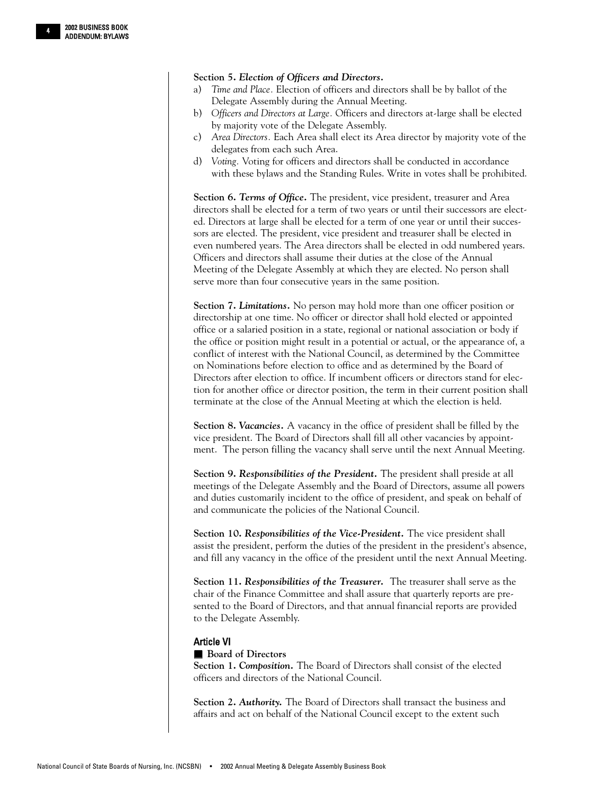#### **Section 5.** *Election of Officers and Directors.*

- a) *Time and Place.* Election of officers and directors shall be by ballot of the Delegate Assembly during the Annual Meeting.
- b) *Officers and Directors at Large.* Officers and directors at-large shall be elected by majority vote of the Delegate Assembly.
- c) *Area Directors.* Each Area shall elect its Area director by majority vote of the delegates from each such Area.
- d) *Voting.* Voting for officers and directors shall be conducted in accordance with these bylaws and the Standing Rules. Write in votes shall be prohibited.

**Section 6.** *Terms of Office.* The president, vice president, treasurer and Area directors shall be elected for a term of two years or until their successors are elected. Directors at large shall be elected for a term of one year or until their successors are elected. The president, vice president and treasurer shall be elected in even numbered years. The Area directors shall be elected in odd numbered years. Officers and directors shall assume their duties at the close of the Annual Meeting of the Delegate Assembly at which they are elected. No person shall serve more than four consecutive years in the same position.

**Section 7.** *Limitations.* No person may hold more than one officer position or directorship at one time. No officer or director shall hold elected or appointed office or a salaried position in a state, regional or national association or body if the office or position might result in a potential or actual, or the appearance of, a conflict of interest with the National Council, as determined by the Committee on Nominations before election to office and as determined by the Board of Directors after election to office. If incumbent officers or directors stand for election for another office or director position, the term in their current position shall terminate at the close of the Annual Meeting at which the election is held.

**Section 8.** *Vacancies.* A vacancy in the office of president shall be filled by the vice president. The Board of Directors shall fill all other vacancies by appointment. The person filling the vacancy shall serve until the next Annual Meeting.

**Section 9.** *Responsibilities of the President.* The president shall preside at all meetings of the Delegate Assembly and the Board of Directors, assume all powers and duties customarily incident to the office of president, and speak on behalf of and communicate the policies of the National Council.

**Section 10.** *Responsibilities of the Vice-President.* The vice president shall assist the president, perform the duties of the president in the president's absence, and fill any vacancy in the office of the president until the next Annual Meeting.

**Section 11.** *Responsibilities of the Treasurer.* The treasurer shall serve as the chair of the Finance Committee and shall assure that quarterly reports are presented to the Board of Directors, and that annual financial reports are provided to the Delegate Assembly.

#### Article VI

#### ■ **Board of Directors**

**Section 1.** *Composition.* The Board of Directors shall consist of the elected officers and directors of the National Council.

**Section 2.** *Authority.* The Board of Directors shall transact the business and affairs and act on behalf of the National Council except to the extent such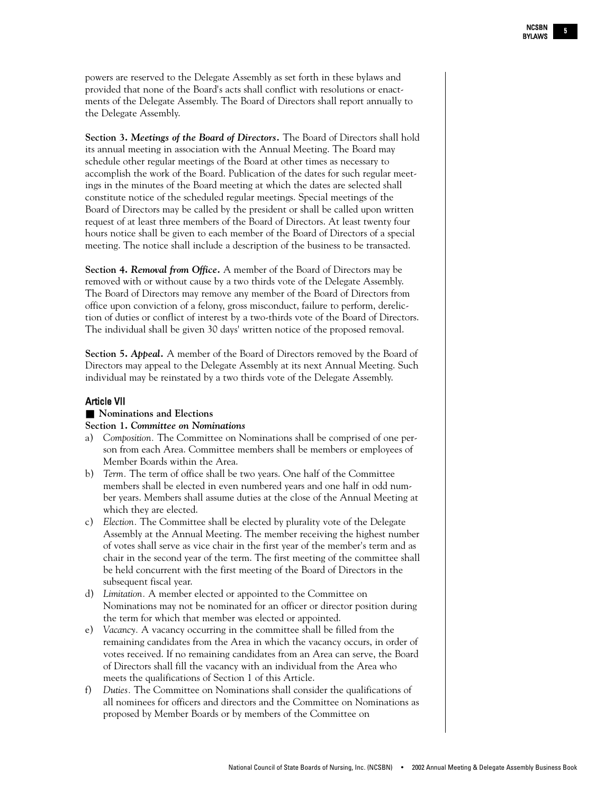powers are reserved to the Delegate Assembly as set forth in these bylaws and provided that none of the Board's acts shall conflict with resolutions or enactments of the Delegate Assembly. The Board of Directors shall report annually to the Delegate Assembly.

**Section 3.** *Meetings of the Board of Directors.* The Board of Directors shall hold its annual meeting in association with the Annual Meeting. The Board may schedule other regular meetings of the Board at other times as necessary to accomplish the work of the Board. Publication of the dates for such regular meetings in the minutes of the Board meeting at which the dates are selected shall constitute notice of the scheduled regular meetings. Special meetings of the Board of Directors may be called by the president or shall be called upon written request of at least three members of the Board of Directors. At least twenty four hours notice shall be given to each member of the Board of Directors of a special meeting. The notice shall include a description of the business to be transacted.

**Section 4.** *Removal from Office.* A member of the Board of Directors may be removed with or without cause by a two thirds vote of the Delegate Assembly. The Board of Directors may remove any member of the Board of Directors from office upon conviction of a felony, gross misconduct, failure to perform, dereliction of duties or conflict of interest by a two-thirds vote of the Board of Directors. The individual shall be given 30 days' written notice of the proposed removal.

**Section 5.** *Appeal.* A member of the Board of Directors removed by the Board of Directors may appeal to the Delegate Assembly at its next Annual Meeting. Such individual may be reinstated by a two thirds vote of the Delegate Assembly.

#### Article VII

#### ■ **Nominations** and **Elections**

#### **Section 1.** *Committee on Nominations*

- a) *Composition.* The Committee on Nominations shall be comprised of one person from each Area. Committee members shall be members or employees of Member Boards within the Area.
- b) *Term.* The term of office shall be two years. One half of the Committee members shall be elected in even numbered years and one half in odd number years. Members shall assume duties at the close of the Annual Meeting at which they are elected.
- c) *Election.* The Committee shall be elected by plurality vote of the Delegate Assembly at the Annual Meeting. The member receiving the highest number of votes shall serve as vice chair in the first year of the member's term and as chair in the second year of the term. The first meeting of the committee shall be held concurrent with the first meeting of the Board of Directors in the subsequent fiscal year.
- d) *Limitation.* A member elected or appointed to the Committee on Nominations may not be nominated for an officer or director position during the term for which that member was elected or appointed.
- e) *Vacancy.* A vacancy occurring in the committee shall be filled from the remaining candidates from the Area in which the vacancy occurs, in order of votes received. If no remaining candidates from an Area can serve, the Board of Directors shall fill the vacancy with an individual from the Area who meets the qualifications of Section 1 of this Article.
- f) *Duties.* The Committee on Nominations shall consider the qualifications of all nominees for officers and directors and the Committee on Nominations as proposed by Member Boards or by members of the Committee on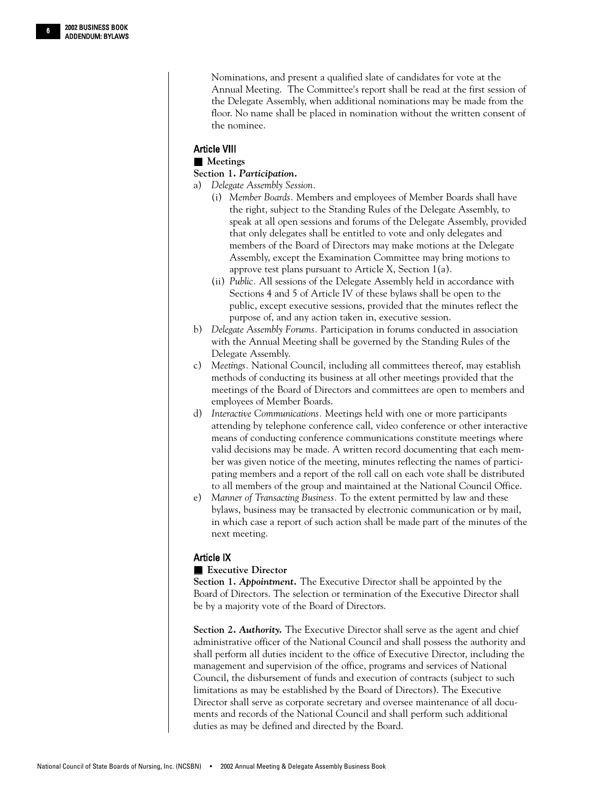Nominations, and present a qualified slate of candidates for vote at the Annual Meeting. The Committee's report shall be read at the first session of the Delegate Assembly, when additional nominations may be made from the floor. No name shall be placed in nomination without the written consent of the nominee.

#### Article VIII

#### ■ **Meetings**

#### **Section 1.** *Participation.*

- a) *Delegate Assembly Session.*
	- (i) *Member Boards.* Members and employees of Member Boards shall have the right, subject to the Standing Rules of the Delegate Assembly, to speak at all open sessions and forums of the Delegate Assembly, provided that only delegates shall be entitled to vote and only delegates and members of the Board of Directors may make motions at the Delegate Assembly, except the Examination Committee may bring motions to approve test plans pursuant to Article X, Section 1(a).
	- (ii) *Public.* All sessions of the Delegate Assembly held in accordance with Sections 4 and 5 of Article IV of these bylaws shall be open to the public, except executive sessions, provided that the minutes reflect the purpose of, and any action taken in, executive session.
- b) *Delegate Assembly Forums.* Participation in forums conducted in association with the Annual Meeting shall be governed by the Standing Rules of the Delegate Assembly.
- c) *Meetings.* National Council, including all committees thereof, may establish methods of conducting its business at all other meetings provided that the meetings of the Board of Directors and committees are open to members and employees of Member Boards.
- d) *Interactive Communications.* Meetings held with one or more participants attending by telephone conference call, video conference or other interactive means of conducting conference communications constitute meetings where valid decisions may be made. A written record documenting that each member was given notice of the meeting, minutes reflecting the names of participating members and a report of the roll call on each vote shall be distributed to all members of the group and maintained at the National Council Office.
- e) *Manner of Transacting Business.* To the extent permitted by law and these bylaws, business may be transacted by electronic communication or by mail, in which case a report of such action shall be made part of the minutes of the next meeting.

#### Article IX

#### ■ **Executive Director**

**Section 1.** *Appointment.* The Executive Director shall be appointed by the Board of Directors. The selection or termination of the Executive Director shall be by a majority vote of the Board of Directors.

**Section 2.** *Authority.* The Executive Director shall serve as the agent and chief administrative officer of the National Council and shall possess the authority and shall perform all duties incident to the office of Executive Director, including the management and supervision of the office, programs and services of National Council, the disbursement of funds and execution of contracts (subject to such limitations as may be established by the Board of Directors). The Executive Director shall serve as corporate secretary and oversee maintenance of all documents and records of the National Council and shall perform such additional duties as may be defined and directed by the Board.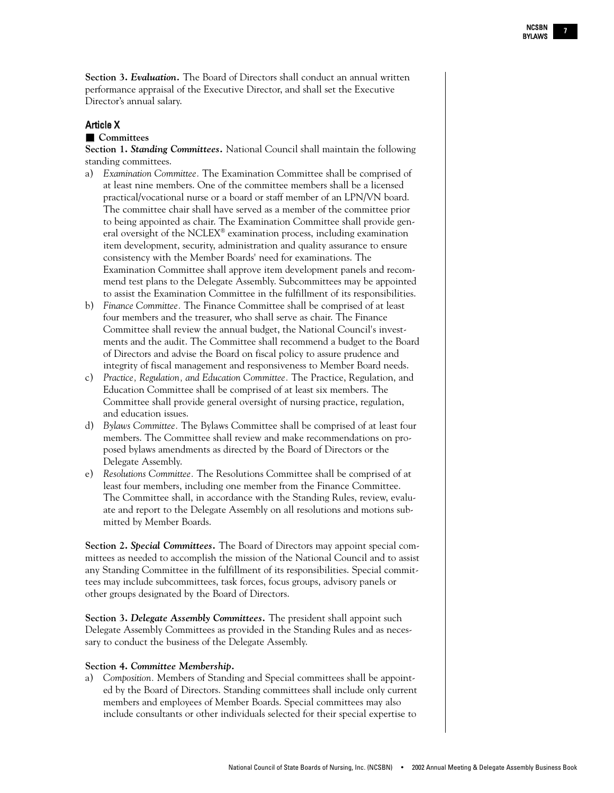**Section 3.** *Evaluation.* The Board of Directors shall conduct an annual written performance appraisal of the Executive Director, and shall set the Executive Director's annual salary.

#### Article X

#### ■ **Committees**

**Section 1.** *Standing Committees.* National Council shall maintain the following standing committees.

- a) *Examination Committee.* The Examination Committee shall be comprised of at least nine members. One of the committee members shall be a licensed practical/vocational nurse or a board or staff member of an LPN/VN board. The committee chair shall have served as a member of the committee prior to being appointed as chair. The Examination Committee shall provide general oversight of the NCLEX® examination process, including examination item development, security, administration and quality assurance to ensure consistency with the Member Boards' need for examinations. The Examination Committee shall approve item development panels and recommend test plans to the Delegate Assembly. Subcommittees may be appointed to assist the Examination Committee in the fulfillment of its responsibilities.
- b) *Finance Committee.* The Finance Committee shall be comprised of at least four members and the treasurer, who shall serve as chair. The Finance Committee shall review the annual budget, the National Council's investments and the audit. The Committee shall recommend a budget to the Board of Directors and advise the Board on fiscal policy to assure prudence and integrity of fiscal management and responsiveness to Member Board needs.
- c) *Practice, Regulation, and Education Committee.* The Practice, Regulation, and Education Committee shall be comprised of at least six members. The Committee shall provide general oversight of nursing practice, regulation, and education issues.
- d) *Bylaws Committee.* The Bylaws Committee shall be comprised of at least four members. The Committee shall review and make recommendations on proposed bylaws amendments as directed by the Board of Directors or the Delegate Assembly.
- e) *Resolutions Committee.* The Resolutions Committee shall be comprised of at least four members, including one member from the Finance Committee. The Committee shall, in accordance with the Standing Rules, review, evaluate and report to the Delegate Assembly on all resolutions and motions submitted by Member Boards.

**Section 2.** *Special Committees.* The Board of Directors may appoint special committees as needed to accomplish the mission of the National Council and to assist any Standing Committee in the fulfillment of its responsibilities. Special committees may include subcommittees, task forces, focus groups, advisory panels or other groups designated by the Board of Directors.

**Section 3.** *Delegate Assembly Committees.* The president shall appoint such Delegate Assembly Committees as provided in the Standing Rules and as necessary to conduct the business of the Delegate Assembly.

#### **Section 4.** *Committee Membership.*

a) *Composition.* Members of Standing and Special committees shall be appointed by the Board of Directors. Standing committees shall include only current members and employees of Member Boards. Special committees may also include consultants or other individuals selected for their special expertise to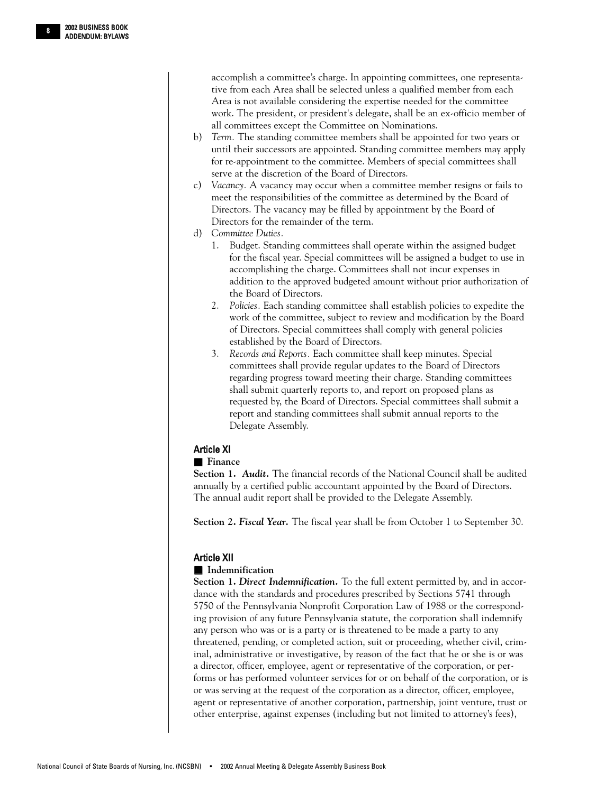accomplish a committee's charge. In appointing committees, one representative from each Area shall be selected unless a qualified member from each Area is not available considering the expertise needed for the committee work. The president, or president's delegate, shall be an ex-officio member of all committees except the Committee on Nominations.

- b) *Term.* The standing committee members shall be appointed for two years or until their successors are appointed. Standing committee members may apply for re-appointment to the committee. Members of special committees shall serve at the discretion of the Board of Directors.
- c) *Vacancy.* A vacancy may occur when a committee member resigns or fails to meet the responsibilities of the committee as determined by the Board of Directors. The vacancy may be filled by appointment by the Board of Directors for the remainder of the term.
- d) *Committee Duties.*
	- 1. Budget. Standing committees shall operate within the assigned budget for the fiscal year. Special committees will be assigned a budget to use in accomplishing the charge. Committees shall not incur expenses in addition to the approved budgeted amount without prior authorization of the Board of Directors.
	- 2. *Policies.* Each standing committee shall establish policies to expedite the work of the committee, subject to review and modification by the Board of Directors. Special committees shall comply with general policies established by the Board of Directors.
	- 3. *Records and Reports.* Each committee shall keep minutes. Special committees shall provide regular updates to the Board of Directors regarding progress toward meeting their charge. Standing committees shall submit quarterly reports to, and report on proposed plans as requested by, the Board of Directors. Special committees shall submit a report and standing committees shall submit annual reports to the Delegate Assembly.

#### Article XI

#### ■ **Finance**

**Section 1.** *Audit.* The financial records of the National Council shall be audited annually by a certified public accountant appointed by the Board of Directors. The annual audit report shall be provided to the Delegate Assembly.

**Section 2.** *Fiscal Year.* The fiscal year shall be from October 1 to September 30.

#### Article XII

#### ■ **Indemnification**

**Section 1.** *Direct Indemnification.* To the full extent permitted by, and in accordance with the standards and procedures prescribed by Sections 5741 through 5750 of the Pennsylvania Nonprofit Corporation Law of 1988 or the corresponding provision of any future Pennsylvania statute, the corporation shall indemnify any person who was or is a party or is threatened to be made a party to any threatened, pending, or completed action, suit or proceeding, whether civil, criminal, administrative or investigative, by reason of the fact that he or she is or was a director, officer, employee, agent or representative of the corporation, or performs or has performed volunteer services for or on behalf of the corporation, or is or was serving at the request of the corporation as a director, officer, employee, agent or representative of another corporation, partnership, joint venture, trust or other enterprise, against expenses (including but not limited to attorney's fees),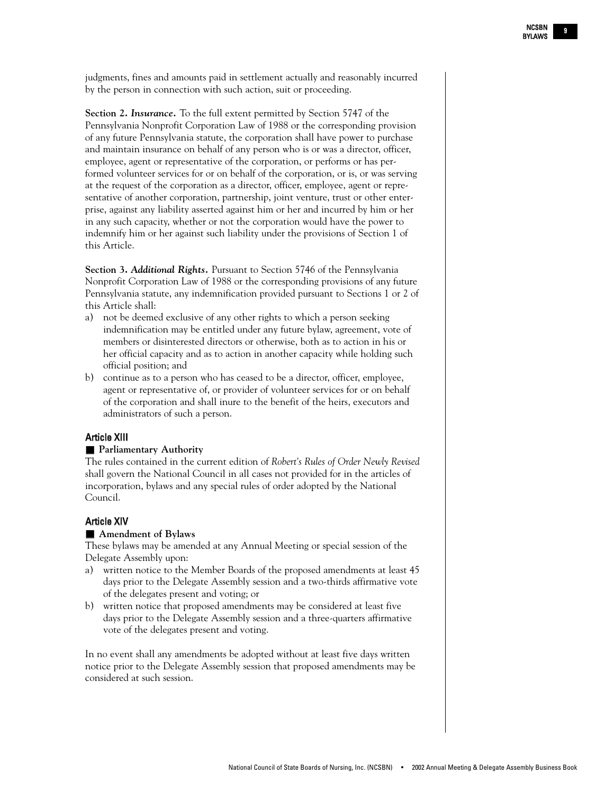judgments, fines and amounts paid in settlement actually and reasonably incurred by the person in connection with such action, suit or proceeding.

**Section 2.** *Insurance.* To the full extent permitted by Section 5747 of the Pennsylvania Nonprofit Corporation Law of 1988 or the corresponding provision of any future Pennsylvania statute, the corporation shall have power to purchase and maintain insurance on behalf of any person who is or was a director, officer, employee, agent or representative of the corporation, or performs or has performed volunteer services for or on behalf of the corporation, or is, or was serving at the request of the corporation as a director, officer, employee, agent or representative of another corporation, partnership, joint venture, trust or other enterprise, against any liability asserted against him or her and incurred by him or her in any such capacity, whether or not the corporation would have the power to indemnify him or her against such liability under the provisions of Section 1 of this Article.

**Section 3.** *Additional Rights.* Pursuant to Section 5746 of the Pennsylvania Nonprofit Corporation Law of 1988 or the corresponding provisions of any future Pennsylvania statute, any indemnification provided pursuant to Sections 1 or 2 of this Article shall:

- a) not be deemed exclusive of any other rights to which a person seeking indemnification may be entitled under any future bylaw, agreement, vote of members or disinterested directors or otherwise, both as to action in his or her official capacity and as to action in another capacity while holding such official position; and
- b) continue as to a person who has ceased to be a director, officer, employee, agent or representative of, or provider of volunteer services for or on behalf of the corporation and shall inure to the benefit of the heirs, executors and administrators of such a person.

#### Article XIII

#### ■ **Parliamentary Authority**

The rules contained in the current edition of *Robert's Rules of Order Newly Revised* shall govern the National Council in all cases not provided for in the articles of incorporation, bylaws and any special rules of order adopted by the National Council.

#### Article XIV

#### ■ **Amendment of Bylaws**

These bylaws may be amended at any Annual Meeting or special session of the Delegate Assembly upon:

- a) written notice to the Member Boards of the proposed amendments at least 45 days prior to the Delegate Assembly session and a two-thirds affirmative vote of the delegates present and voting; or
- b) written notice that proposed amendments may be considered at least five days prior to the Delegate Assembly session and a three-quarters affirmative vote of the delegates present and voting.

In no event shall any amendments be adopted without at least five days written notice prior to the Delegate Assembly session that proposed amendments may be considered at such session.